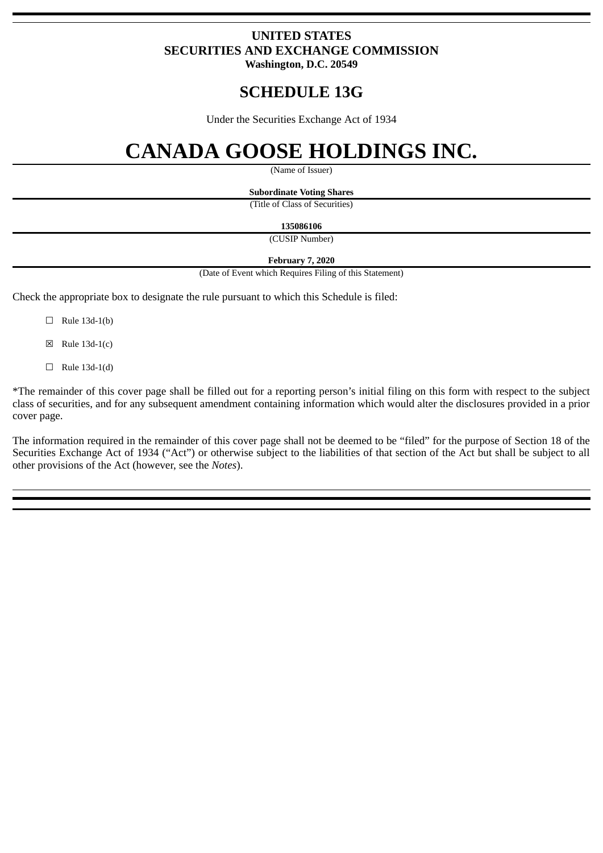### **UNITED STATES SECURITIES AND EXCHANGE COMMISSION Washington, D.C. 20549**

# **SCHEDULE 13G**

Under the Securities Exchange Act of 1934

# **CANADA GOOSE HOLDINGS INC.**

(Name of Issuer)

**Subordinate Voting Shares**

(Title of Class of Securities)

**135086106**

(CUSIP Number)

**February 7, 2020**

(Date of Event which Requires Filing of this Statement)

Check the appropriate box to designate the rule pursuant to which this Schedule is filed:

- $\Box$  Rule 13d-1(b)
- $\boxtimes$  Rule 13d-1(c)
- $\Box$  Rule 13d-1(d)

\*The remainder of this cover page shall be filled out for a reporting person's initial filing on this form with respect to the subject class of securities, and for any subsequent amendment containing information which would alter the disclosures provided in a prior cover page.

The information required in the remainder of this cover page shall not be deemed to be "filed" for the purpose of Section 18 of the Securities Exchange Act of 1934 ("Act") or otherwise subject to the liabilities of that section of the Act but shall be subject to all other provisions of the Act (however, see the *Notes*).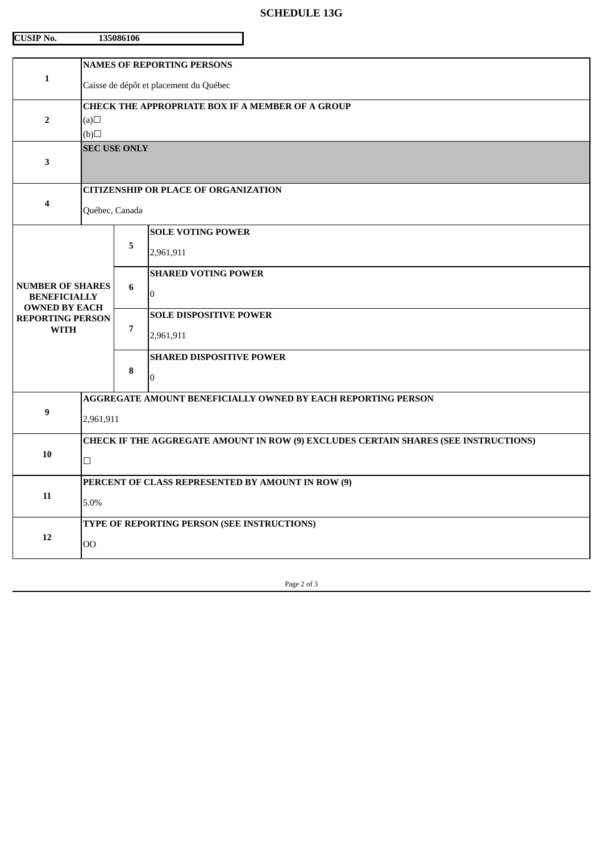## **SCHEDULE 13G**

| <b>CUSIP No.</b>                                                       |                                                                                               | 135086106      |                                              |  |  |
|------------------------------------------------------------------------|-----------------------------------------------------------------------------------------------|----------------|----------------------------------------------|--|--|
| 1                                                                      | <b>NAMES OF REPORTING PERSONS</b><br>Caisse de dépôt et placement du Québec                   |                |                                              |  |  |
| $\overline{2}$                                                         | CHECK THE APPROPRIATE BOX IF A MEMBER OF A GROUP<br>(a)<br>$\Box$ (d)                         |                |                                              |  |  |
| 3                                                                      | <b>SEC USE ONLY</b>                                                                           |                |                                              |  |  |
| 4                                                                      | <b>CITIZENSHIP OR PLACE OF ORGANIZATION</b><br>Québec, Canada                                 |                |                                              |  |  |
|                                                                        |                                                                                               | 5              | <b>SOLE VOTING POWER</b><br>2,961,911        |  |  |
| <b>NUMBER OF SHARES</b><br><b>BENEFICIALLY</b><br><b>OWNED BY EACH</b> |                                                                                               | 6              | <b>SHARED VOTING POWER</b><br>$\overline{0}$ |  |  |
| <b>REPORTING PERSON</b><br><b>WITH</b>                                 |                                                                                               | $\overline{7}$ | <b>SOLE DISPOSITIVE POWER</b><br>2,961,911   |  |  |
|                                                                        |                                                                                               | 8              | <b>SHARED DISPOSITIVE POWER</b><br>$\Omega$  |  |  |
| 9                                                                      | AGGREGATE AMOUNT BENEFICIALLY OWNED BY EACH REPORTING PERSON<br>2,961,911                     |                |                                              |  |  |
| 10                                                                     | CHECK IF THE AGGREGATE AMOUNT IN ROW (9) EXCLUDES CERTAIN SHARES (SEE INSTRUCTIONS)<br>$\Box$ |                |                                              |  |  |
| 11                                                                     | PERCENT OF CLASS REPRESENTED BY AMOUNT IN ROW (9)<br>5.0%                                     |                |                                              |  |  |
| 12                                                                     | TYPE OF REPORTING PERSON (SEE INSTRUCTIONS)<br>$00\,$                                         |                |                                              |  |  |

Page 2 of 3